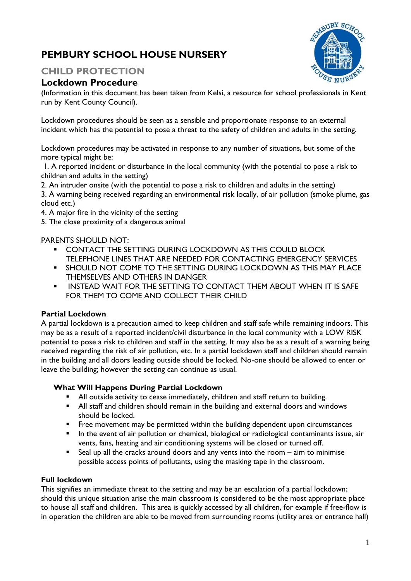# **PEMBURY SCHOOL HOUSE NURSERY**

## **CHILD PROTECTION**

## **Lockdown Procedure**

**BURY SCA** 

(Information in this document has been taken from Kelsi, a resource for school professionals in Kent run by Kent County Council).

Lockdown procedures should be seen as a sensible and proportionate response to an external incident which has the potential to pose a threat to the safety of children and adults in the setting.

Lockdown procedures may be activated in response to any number of situations, but some of the more typical might be:

1. A reported incident or disturbance in the local community (with the potential to pose a risk to children and adults in the setting)

2. An intruder onsite (with the potential to pose a risk to children and adults in the setting) 3. A warning being received regarding an environmental risk locally, of air pollution (smoke plume, gas

cloud etc.)

4. A major fire in the vicinity of the setting

5. The close proximity of a dangerous animal

PARENTS SHOULD NOT:

- **CONTACT THE SETTING DURING LOCKDOWN AS THIS COULD BLOCK** TELEPHONE LINES THAT ARE NEEDED FOR CONTACTING EMERGENCY SERVICES
- SHOULD NOT COME TO THE SETTING DURING LOCKDOWN AS THIS MAY PLACE THEMSELVES AND OTHERS IN DANGER
- INSTEAD WAIT FOR THE SETTING TO CONTACT THEM ABOUT WHEN IT IS SAFE FOR THEM TO COME AND COLLECT THEIR CHILD

### **Partial Lockdown**

A partial lockdown is a precaution aimed to keep children and staff safe while remaining indoors. This may be as a result of a reported incident/civil disturbance in the local community with a LOW RISK potential to pose a risk to children and staff in the setting. It may also be as a result of a warning being received regarding the risk of air pollution, etc. In a partial lockdown staff and children should remain in the building and all doors leading outside should be locked. No-one should be allowed to enter or leave the building; however the setting can continue as usual.

#### **What Will Happens During Partial Lockdown**

- All outside activity to cease immediately, children and staff return to building.
- All staff and children should remain in the building and external doors and windows should be locked.
- **•** Free movement may be permitted within the building dependent upon circumstances
- In the event of air pollution or chemical, biological or radiological contaminants issue, air vents, fans, heating and air conditioning systems will be closed or turned off.
- Seal up all the cracks around doors and any vents into the room aim to minimise possible access points of pollutants, using the masking tape in the classroom.

### **Full lockdown**

This signifies an immediate threat to the setting and may be an escalation of a partial lockdown; should this unique situation arise the main classroom is considered to be the most appropriate place to house all staff and children. This area is quickly accessed by all children, for example if free-flow is in operation the children are able to be moved from surrounding rooms (utility area or entrance hall)